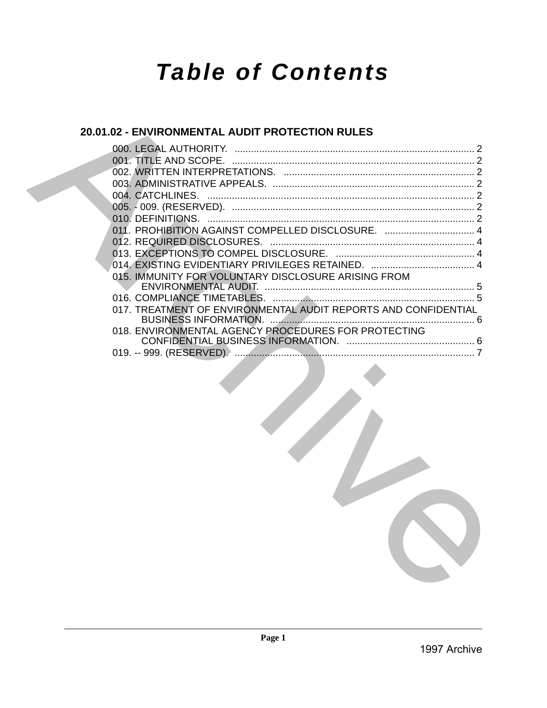# *Table of Contents*

## **20.01.02 - ENVIRONMENTAL AUDIT PROTECTION RULES**

| 011. PROHIBITION AGAINST COMPELLED DISCLOSURE.  4              |  |  |
|----------------------------------------------------------------|--|--|
|                                                                |  |  |
|                                                                |  |  |
|                                                                |  |  |
| 015. IMMUNITY FOR VOLUNTARY DISCLOSURE ARISING FROM            |  |  |
|                                                                |  |  |
| 017. TREATMENT OF ENVIRONMENTAL AUDIT REPORTS AND CONFIDENTIAL |  |  |
| 018. ENVIRONMENTAL AGENCY PROCEDURES FOR PROTECTING            |  |  |
|                                                                |  |  |
|                                                                |  |  |
|                                                                |  |  |
|                                                                |  |  |
|                                                                |  |  |
|                                                                |  |  |
|                                                                |  |  |
|                                                                |  |  |
|                                                                |  |  |
|                                                                |  |  |
|                                                                |  |  |
|                                                                |  |  |
|                                                                |  |  |
|                                                                |  |  |
|                                                                |  |  |
|                                                                |  |  |
|                                                                |  |  |
|                                                                |  |  |
|                                                                |  |  |
|                                                                |  |  |
|                                                                |  |  |
|                                                                |  |  |
|                                                                |  |  |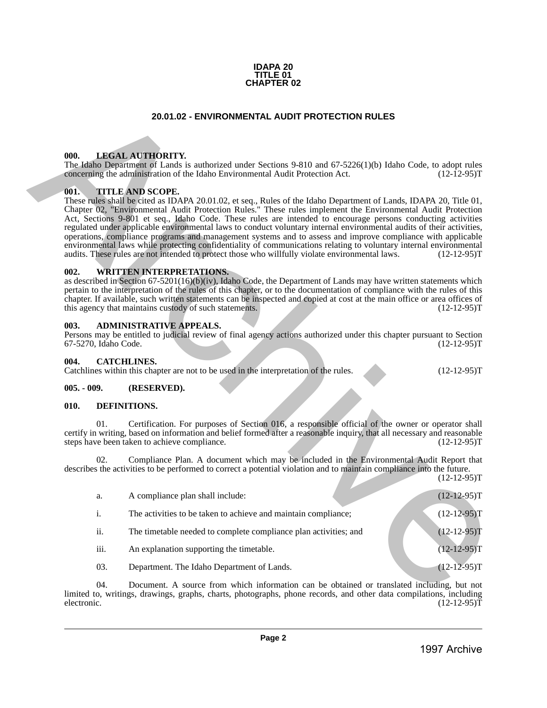

### **20.01.02 - ENVIRONMENTAL AUDIT PROTECTION RULES**

### <span id="page-1-1"></span>**000. LEGAL AUTHORITY.**

### <span id="page-1-2"></span>**001. TITLE AND SCOPE.**

### <span id="page-1-3"></span>**002. WRITTEN INTERPRETATIONS.**

### <span id="page-1-4"></span>**003. ADMINISTRATIVE APPEALS.**

### <span id="page-1-5"></span>**004. CATCHLINES.**

### <span id="page-1-6"></span>**005. - 009. (RESERVED).**

### <span id="page-1-7"></span>**010. DEFINITIONS.**

<span id="page-1-0"></span>

|              |                      | <b>20.01.02 - ENVIRONMENTAL AUDIT PROTECTION RULES</b>                                                                                                                                                                                                                                                                                                                                                                                                                                                                                                                                                                                                                                                                                                                                                                                         |               |
|--------------|----------------------|------------------------------------------------------------------------------------------------------------------------------------------------------------------------------------------------------------------------------------------------------------------------------------------------------------------------------------------------------------------------------------------------------------------------------------------------------------------------------------------------------------------------------------------------------------------------------------------------------------------------------------------------------------------------------------------------------------------------------------------------------------------------------------------------------------------------------------------------|---------------|
|              |                      |                                                                                                                                                                                                                                                                                                                                                                                                                                                                                                                                                                                                                                                                                                                                                                                                                                                |               |
| 000.         |                      | <b>LEGAL AUTHORITY.</b><br>The Idaho Department of Lands is authorized under Sections 9-810 and 67-5226(1)(b) Idaho Code, to adopt rules<br>concerning the administration of the Idaho Environmental Audit Protection Act.                                                                                                                                                                                                                                                                                                                                                                                                                                                                                                                                                                                                                     | $(12-12-95)T$ |
| 001.         |                      | <b>TITLE AND SCOPE.</b><br>These rules shall be cited as IDAPA 20.01.02, et seq., Rules of the Idaho Department of Lands, IDAPA 20, Title 01,<br>Chapter 02, "Environmental Audit Protection Rules." These rules implement the Environmental Audit Protection<br>Act, Sections 9-801 et seq., Idaho Code. These rules are intended to encourage persons conducting activities<br>regulated under applicable environmental laws to conduct voluntary internal environmental audits of their activities,<br>operations, compliance programs and management systems and to assess and improve compliance with applicable<br>environmental laws while protecting confidentiality of communications relating to voluntary internal environmental<br>audits. These rules are not intended to protect those who willfully violate environmental laws. | $(12-12-95)T$ |
| 002.         |                      | <b>WRITTEN INTERPRETATIONS.</b><br>as described in Section 67-5201(16)(b)(iv), Idaho Code, the Department of Lands may have written statements which<br>pertain to the interpretation of the rules of this chapter, or to the documentation of compliance with the rules of this<br>chapter. If available, such written statements can be inspected and copied at cost at the main office or area offices of<br>this agency that maintains custody of such statements.                                                                                                                                                                                                                                                                                                                                                                         | $(12-12-95)T$ |
| 003.         | 67-5270, Idaho Code. | <b>ADMINISTRATIVE APPEALS.</b><br>Persons may be entitled to judicial review of final agency actions authorized under this chapter pursuant to Section                                                                                                                                                                                                                                                                                                                                                                                                                                                                                                                                                                                                                                                                                         | $(12-12-95)T$ |
| 004.         |                      | <b>CATCHLINES.</b><br>Catchlines within this chapter are not to be used in the interpretation of the rules.                                                                                                                                                                                                                                                                                                                                                                                                                                                                                                                                                                                                                                                                                                                                    | $(12-12-95)T$ |
| $005. -009.$ |                      | (RESERVED).                                                                                                                                                                                                                                                                                                                                                                                                                                                                                                                                                                                                                                                                                                                                                                                                                                    |               |
| 010.         |                      | DEFINITIONS.                                                                                                                                                                                                                                                                                                                                                                                                                                                                                                                                                                                                                                                                                                                                                                                                                                   |               |
|              | 01.                  | Certification. For purposes of Section 016, a responsible official of the owner or operator shall<br>certify in writing, based on information and belief formed after a reasonable inquiry, that all necessary and reasonable<br>steps have been taken to achieve compliance.                                                                                                                                                                                                                                                                                                                                                                                                                                                                                                                                                                  | $(12-12-95)T$ |
|              | 02.                  | Compliance Plan. A document which may be included in the Environmental Audit Report that<br>describes the activities to be performed to correct a potential violation and to maintain compliance into the future.                                                                                                                                                                                                                                                                                                                                                                                                                                                                                                                                                                                                                              | $(12-12-95)T$ |
|              | a.                   | A compliance plan shall include:                                                                                                                                                                                                                                                                                                                                                                                                                                                                                                                                                                                                                                                                                                                                                                                                               | $(12-12-95)T$ |
|              | $\mathrm{i}.$        | The activities to be taken to achieve and maintain compliance;                                                                                                                                                                                                                                                                                                                                                                                                                                                                                                                                                                                                                                                                                                                                                                                 | $(12-12-95)T$ |
|              | ii.                  | The timetable needed to complete compliance plan activities; and                                                                                                                                                                                                                                                                                                                                                                                                                                                                                                                                                                                                                                                                                                                                                                               | $(12-12-95)T$ |
|              | iii.                 | An explanation supporting the timetable.                                                                                                                                                                                                                                                                                                                                                                                                                                                                                                                                                                                                                                                                                                                                                                                                       | $(12-12-95)T$ |
|              | 03.                  | Department. The Idaho Department of Lands.                                                                                                                                                                                                                                                                                                                                                                                                                                                                                                                                                                                                                                                                                                                                                                                                     | $(12-12-95)T$ |
|              | 04.                  | Document. A source from which information can be obtained or translated including, but not<br>limited to, writings, drawings, graphs, charts, photographs, phone records, and other data compilations, including                                                                                                                                                                                                                                                                                                                                                                                                                                                                                                                                                                                                                               | $(12-12-95)T$ |
| electronic.  |                      |                                                                                                                                                                                                                                                                                                                                                                                                                                                                                                                                                                                                                                                                                                                                                                                                                                                |               |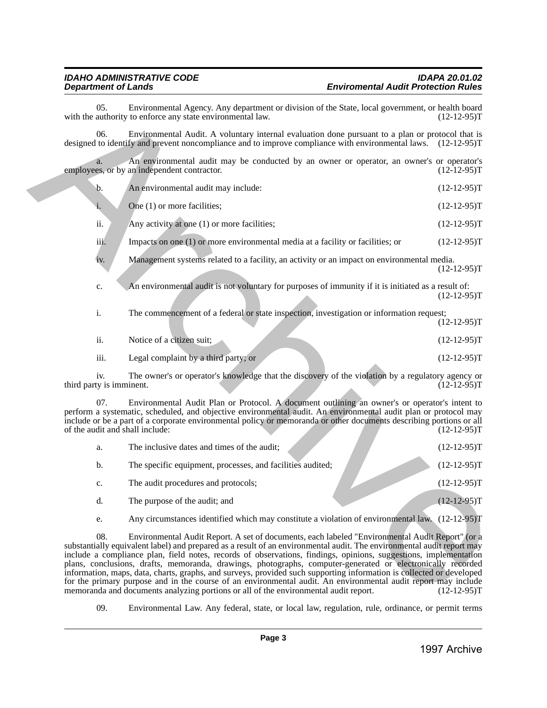| 05.                                    | Environmental Agency. Any department or division of the State, local government, or health board<br>with the authority to enforce any state environmental law.                                                                                                                                                                                                                                                                                                                                                                                                                                                                                                                                                                                                                                 | $(12-12-95)T$  |
|----------------------------------------|------------------------------------------------------------------------------------------------------------------------------------------------------------------------------------------------------------------------------------------------------------------------------------------------------------------------------------------------------------------------------------------------------------------------------------------------------------------------------------------------------------------------------------------------------------------------------------------------------------------------------------------------------------------------------------------------------------------------------------------------------------------------------------------------|----------------|
| 06.                                    | Environmental Audit. A voluntary internal evaluation done pursuant to a plan or protocol that is<br>designed to identify and prevent noncompliance and to improve compliance with environmental laws. (12-12-95)T                                                                                                                                                                                                                                                                                                                                                                                                                                                                                                                                                                              |                |
| a.                                     | An environmental audit may be conducted by an owner or operator, an owner's or operator's<br>employees, or by an independent contractor.                                                                                                                                                                                                                                                                                                                                                                                                                                                                                                                                                                                                                                                       | $(12-12-95)T$  |
| b.                                     | An environmental audit may include:                                                                                                                                                                                                                                                                                                                                                                                                                                                                                                                                                                                                                                                                                                                                                            | $(12-12-95)T$  |
| i.                                     | One (1) or more facilities;                                                                                                                                                                                                                                                                                                                                                                                                                                                                                                                                                                                                                                                                                                                                                                    | $(12-12-95)T$  |
| ii.                                    | Any activity at one (1) or more facilities;                                                                                                                                                                                                                                                                                                                                                                                                                                                                                                                                                                                                                                                                                                                                                    | $(12-12-95)T$  |
| iii.                                   | Impacts on one $(1)$ or more environmental media at a facility or facilities; or                                                                                                                                                                                                                                                                                                                                                                                                                                                                                                                                                                                                                                                                                                               | $(12-12-95)T$  |
| iv.                                    | Management systems related to a facility, an activity or an impact on environmental media.                                                                                                                                                                                                                                                                                                                                                                                                                                                                                                                                                                                                                                                                                                     | $(12-12-95)T$  |
| c.                                     | An environmental audit is not voluntary for purposes of immunity if it is initiated as a result of:                                                                                                                                                                                                                                                                                                                                                                                                                                                                                                                                                                                                                                                                                            | $(12-12-95)T$  |
| i.                                     | The commencement of a federal or state inspection, investigation or information request;                                                                                                                                                                                                                                                                                                                                                                                                                                                                                                                                                                                                                                                                                                       | $(12-12-95)T$  |
| ii.                                    | Notice of a citizen suit;                                                                                                                                                                                                                                                                                                                                                                                                                                                                                                                                                                                                                                                                                                                                                                      | $(12-12-95)T$  |
| iii.                                   | Legal complaint by a third party; or                                                                                                                                                                                                                                                                                                                                                                                                                                                                                                                                                                                                                                                                                                                                                           | $(12-12-95)T$  |
| iv.<br>third party is imminent.        | The owner's or operator's knowledge that the discovery of the violation by a regulatory agency or                                                                                                                                                                                                                                                                                                                                                                                                                                                                                                                                                                                                                                                                                              | $(12-12-95)$ T |
| 07.<br>of the audit and shall include: | Environmental Audit Plan or Protocol. A document outlining an owner's or operator's intent to<br>perform a systematic, scheduled, and objective environmental audit. An environmental audit plan or protocol may<br>include or be a part of a corporate environmental policy or memoranda or other documents describing portions or all                                                                                                                                                                                                                                                                                                                                                                                                                                                        | $(12-12-95)T$  |
| a.                                     | The inclusive dates and times of the audit;                                                                                                                                                                                                                                                                                                                                                                                                                                                                                                                                                                                                                                                                                                                                                    | $(12-12-95)T$  |
| b.                                     | The specific equipment, processes, and facilities audited;                                                                                                                                                                                                                                                                                                                                                                                                                                                                                                                                                                                                                                                                                                                                     | $(12-12-95)T$  |
| c.                                     | The audit procedures and protocols;                                                                                                                                                                                                                                                                                                                                                                                                                                                                                                                                                                                                                                                                                                                                                            | $(12-12-95)T$  |
| d.                                     | The purpose of the audit; and                                                                                                                                                                                                                                                                                                                                                                                                                                                                                                                                                                                                                                                                                                                                                                  | $(12-12-95)T$  |
| e.                                     | Any circumstances identified which may constitute a violation of environmental law. (12-12-95)T                                                                                                                                                                                                                                                                                                                                                                                                                                                                                                                                                                                                                                                                                                |                |
| 08.                                    | Environmental Audit Report. A set of documents, each labeled "Environmental Audit Report" (or a<br>substantially equivalent label) and prepared as a result of an environmental audit. The environmental audit report may<br>include a compliance plan, field notes, records of observations, findings, opinions, suggestions, implementation<br>plans, conclusions, drafts, memoranda, drawings, photographs, computer-generated or electronically recorded<br>information, maps, data, charts, graphs, and surveys, provided such supporting information is collected or developed<br>for the primary purpose and in the course of an environmental audit. An environmental audit report may include<br>memoranda and documents analyzing portions or all of the environmental audit report. | $(12-12-95)T$  |
| 09.                                    | Environmental Law. Any federal, state, or local law, regulation, rule, ordinance, or permit terms                                                                                                                                                                                                                                                                                                                                                                                                                                                                                                                                                                                                                                                                                              |                |
|                                        | Page 3                                                                                                                                                                                                                                                                                                                                                                                                                                                                                                                                                                                                                                                                                                                                                                                         |                |
|                                        |                                                                                                                                                                                                                                                                                                                                                                                                                                                                                                                                                                                                                                                                                                                                                                                                | 1997 Archive   |

| a. | The inclusive dates and times of the audit;                | $(12-12-95)T$ |
|----|------------------------------------------------------------|---------------|
| b. | The specific equipment, processes, and facilities audited; | $(12-12-95)T$ |
| c. | The audit procedures and protocols;                        | $(12-12-95)T$ |
| d. | The purpose of the audit; and                              | $(12-12-95)T$ |
|    |                                                            |               |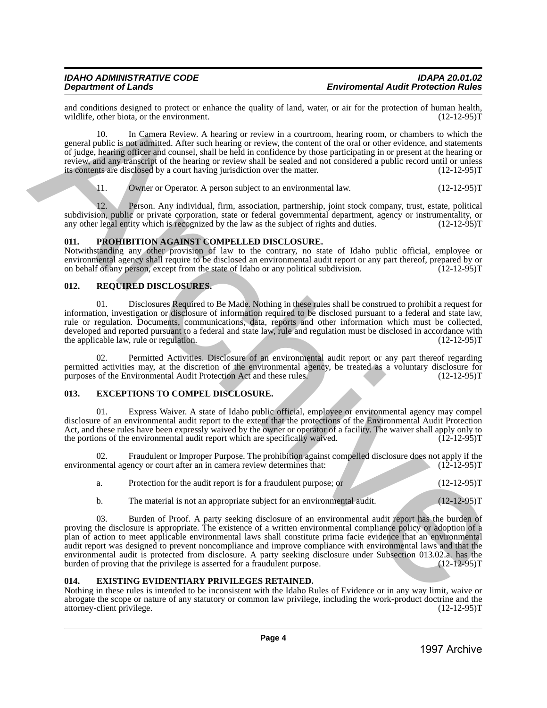and conditions designed to protect or enhance the quality of land, water, or air for the protection of human health, wildlife, other biota, or the environment. (12-12-95) wildlife, other biota, or the environment.

10. In Camera Review. A hearing or review in a courtroom, hearing room, or chambers to which the general public is not admitted. After such hearing or review, the content of the oral or other evidence, and statements of judge, hearing officer and counsel, shall be held in confidence by those participating in or present at the hearing or review, and any transcript of the hearing or review shall be sealed and not considered a public record until or unless<br>its contents are disclosed by a court having jurisdiction over the matter. (12-12-95) its contents are disclosed by a court having jurisdiction over the matter.

11. Owner or Operator. A person subject to an environmental law. (12-12-95)T

12. Person. Any individual, firm, association, partnership, joint stock company, trust, estate, political subdivision, public or private corporation, state or federal governmental department, agency or instrumentality, or any other legal entity which is recognized by the law as the subject of rights and duties. (12-12-95) any other legal entity which is recognized by the law as the subject of rights and duties.

### <span id="page-3-0"></span>**011. PROHIBITION AGAINST COMPELLED DISCLOSURE.**

Notwithstanding any other provision of law to the contrary, no state of Idaho public official, employee or environmental agency shall require to be disclosed an environmental audit report or any part thereof, prepared by or on behalf of any person, except from the state of Idaho or any political subdivision. (12-12-95)T

### <span id="page-3-1"></span>**012. REQUIRED DISCLOSURES.**

01. Disclosures Required to Be Made. Nothing in these rules shall be construed to prohibit a request for information, investigation or disclosure of information required to be disclosed pursuant to a federal and state law, rule or regulation. Documents, communications, data, reports and other information which must be collected, developed and reported pursuant to a federal and state law, rule and regulation must be disclosed in accordance with the applicable law, rule or regulation. (12-12-95)T the applicable law, rule or regulation.

02. Permitted Activities. Disclosure of an environmental audit report or any part thereof regarding permitted activities may, at the discretion of the environmental agency, be treated as a voluntary disclosure for purposes of the Environmental Audit Protection Act and these rules. (12-12-95) purposes of the Environmental Audit Protection Act and these rules.

### <span id="page-3-2"></span>**013. EXCEPTIONS TO COMPEL DISCLOSURE.**

01. Express Waiver. A state of Idaho public official, employee or environmental agency may compel disclosure of an environmental audit report to the extent that the protections of the Environmental Audit Protection Act, and these rules have been expressly waived by the owner or operator of a facility. The waiver shall apply only to the portions of the environmental audit report which are specifically waived. (12-12-95)T the portions of the environmental audit report which are specifically waived.

02. Fraudulent or Improper Purpose. The prohibition against compelled disclosure does not apply if the nentral agency or court after an in camera review determines that: (12-12-95) environmental agency or court after an in camera review determines that:

| Protection for the audit report is for a fraudulent purpose; or |  | $(12-12-95)T$ |
|-----------------------------------------------------------------|--|---------------|
|                                                                 |  |               |

b. The material is not an appropriate subject for an environmental audit. (12-12-95) T

03. Burden of Proof. A party seeking disclosure of an environmental audit report has the burden of proving the disclosure is appropriate. The existence of a written environmental compliance policy or adoption of a plan of action to meet applicable environmental laws shall constitute prima facie evidence that an environmental audit report was designed to prevent noncompliance and improve compliance with environmental laws and that the environmental audit is protected from disclosure. A party seeking disclosure under Subsection 013.02.a. has the burden of proving that the privilege is asserted for a fraudulent purpose. (12-12-95)T **Example Solution** Constraint in the specified voltaine since the specified voltaine since the specified voltaine of the specified voltaine of the specified voltaine of the specified voltaine of the specified voltaine of

### <span id="page-3-3"></span>**014. EXISTING EVIDENTIARY PRIVILEGES RETAINED.**

Nothing in these rules is intended to be inconsistent with the Idaho Rules of Evidence or in any way limit, waive or abrogate the scope or nature of any statutory or common law privilege, including the work-product doctrine and the attorney-client privilege. (12-12-95)T attorney-client privilege.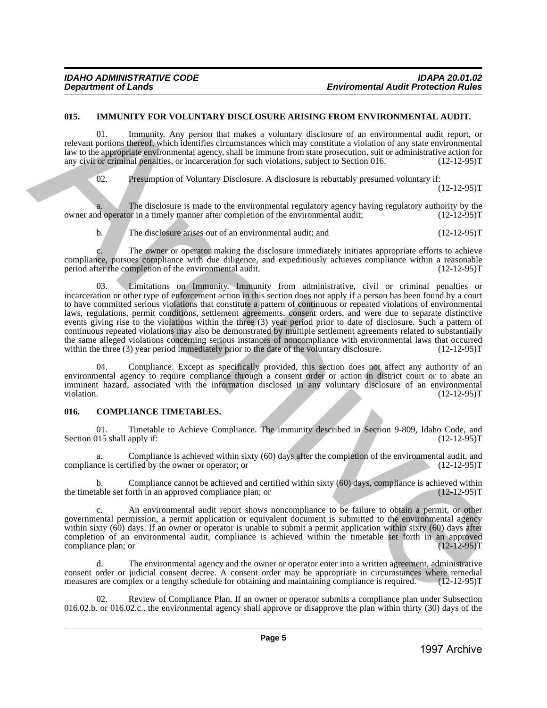### <span id="page-4-0"></span>**015. IMMUNITY FOR VOLUNTARY DISCLOSURE ARISING FROM ENVIRONMENTAL AUDIT.**

Immunity. Any person that makes a voluntary disclosure of an environmental audit report, or relevant portions thereof, which identifies circumstances which may constitute a violation of any state environmental law to the appropriate environmental agency, shall be immune from state prosecution, suit or administrative action for any civil or criminal penalties, or incarceration for such violations, subject to Section 016. (12-12-9 any civil or criminal penalties, or incarceration for such violations, subject to Section 016.

02. Presumption of Voluntary Disclosure. A disclosure is rebuttably presumed voluntary if:

 $(12-12-95)T$ 

The disclosure is made to the environmental regulatory agency having regulatory authority by the or in a timely manner after completion of the environmental audit:  $(12-12-95)$ owner and operator in a timely manner after completion of the environmental audit;

b. The disclosure arises out of an environmental audit; and  $(12{\text -}12{\text -}95)$ T

The owner or operator making the disclosure immediately initiates appropriate efforts to achieve compliance, pursues compliance with due diligence, and expeditiously achieves compliance within a reasonable period after the completion of the environmental audit. (12-12-95)T

03. Limitations on Immunity. Immunity from administrative, civil or criminal penalties or incarceration or other type of enforcement action in this section does not apply if a person has been found by a court to have committed serious violations that constitute a pattern of continuous or repeated violations of environmental laws, regulations, permit conditions, settlement agreements, consent orders, and were due to separate distinctive events giving rise to the violations within the three (3) year period prior to date of disclosure. Such a pattern of continuous repeated violations may also be demonstrated by multiple settlement agreements related to substantially the same alleged violations concerning serious instances of noncompliance with environmental laws that occurred<br>within the three (3) year period immediately prior to the date of the voluntary disclosure. (12-12-95)T within the three  $(3)$  year period immediately prior to the date of the voluntary disclosure. 915. IMMUNITY FOR VOLUNTARY DISCLOSURE ARISING FROM ENVIRONMENTAL AUDIT<br>
notions (1) the Manual Manual Manual Manual Manual Manual Manual Manual Manual Manual Manual Manual Manual Manual Manual Manual Manual Manual Manual

Compliance. Except as specifically provided, this section does not affect any authority of an environmental agency to require compliance through a consent order or action in district court or to abate an imminent hazard, associated with the information disclosed in any voluntary disclosure of an environmental violation. (12-12-95)T violation. (12-12-95)T

### <span id="page-4-1"></span>**016. COMPLIANCE TIMETABLES.**

01. Timetable to Achieve Compliance. The immunity described in Section 9-809, Idaho Code, and 015 shall apply if: (12-12-95) Section  $015$  shall apply if:

a. Compliance is achieved within sixty (60) days after the completion of the environmental audit, and  $(12-12-95)T$ compliance is certified by the owner or operator; or

b. Compliance cannot be achieved and certified within sixty (60) days, compliance is achieved within able set forth in an approved compliance plan; or  $(12-12-95)$ the timetable set forth in an approved compliance plan; or

c. An environmental audit report shows noncompliance to be failure to obtain a permit, or other governmental permission, a permit application or equivalent document is submitted to the environmental agency within sixty (60) days. If an owner or operator is unable to submit a permit application within sixty (60) days after completion of an environmental audit, compliance is achieved within the timetable set forth in an approved compliance plan; or (12-12-95) compliance plan; or

The environmental agency and the owner or operator enter into a written agreement, administrative consent order or judicial consent decree. A consent order may be appropriate in circumstances where remedial measures are complex or a lengthy schedule for obtaining and maintaining compliance is required. (12-12-95)T

Review of Compliance Plan. If an owner or operator submits a compliance plan under Subsection 016.02.b. or 016.02.c., the environmental agency shall approve or disapprove the plan within thirty (30) days of the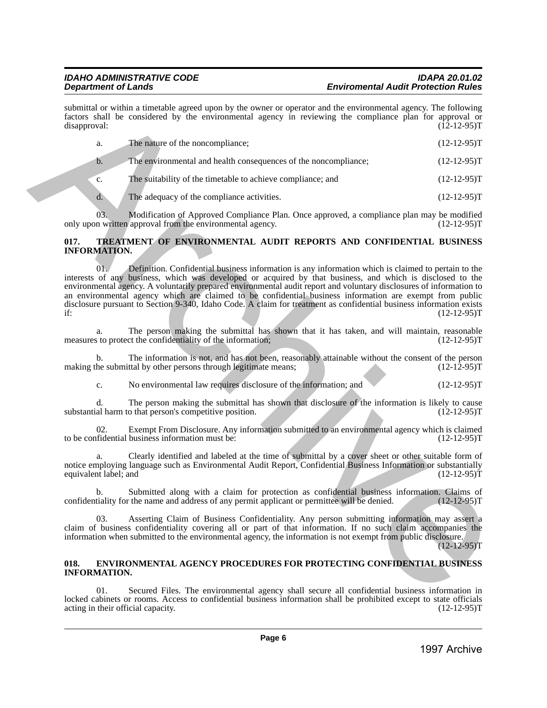|                                    | Page 6                                                                                                                                                                                                                                                                                                                                                                                                                                                                                                                                                                      |                |
|------------------------------------|-----------------------------------------------------------------------------------------------------------------------------------------------------------------------------------------------------------------------------------------------------------------------------------------------------------------------------------------------------------------------------------------------------------------------------------------------------------------------------------------------------------------------------------------------------------------------------|----------------|
| acting in their official capacity. |                                                                                                                                                                                                                                                                                                                                                                                                                                                                                                                                                                             | $(12-12-95)T$  |
| <b>INFORMATION.</b><br>01.         | Secured Files. The environmental agency shall secure all confidential business information in<br>locked cabinets or rooms. Access to confidential business information shall be prohibited except to state officials                                                                                                                                                                                                                                                                                                                                                        |                |
| 018.                               | <b>ENVIRONMENTAL AGENCY PROCEDURES FOR PROTECTING CONFIDENTIAL BUSINESS</b>                                                                                                                                                                                                                                                                                                                                                                                                                                                                                                 |                |
| 03.                                | Asserting Claim of Business Confidentiality. Any person submitting information may assert a<br>claim of business confidentiality covering all or part of that information. If no such claim accompanies the<br>information when submitted to the environmental agency, the information is not exempt from public disclosure.                                                                                                                                                                                                                                                | $(12-12-95)$ T |
| b.                                 | Submitted along with a claim for protection as confidential business information. Claims of<br>confidentiality for the name and address of any permit applicant or permittee will be denied.                                                                                                                                                                                                                                                                                                                                                                                | $(12-12-95)T$  |
| a.<br>equivalent label; and        | Clearly identified and labeled at the time of submittal by a cover sheet or other suitable form of<br>notice employing language such as Environmental Audit Report, Confidential Business Information or substantially                                                                                                                                                                                                                                                                                                                                                      | $(12-12-95)T$  |
| 02.                                | Exempt From Disclosure. Any information submitted to an environmental agency which is claimed<br>to be confidential business information must be:                                                                                                                                                                                                                                                                                                                                                                                                                           | $(12-12-95)T$  |
| d.                                 | The person making the submittal has shown that disclosure of the information is likely to cause<br>substantial harm to that person's competitive position.                                                                                                                                                                                                                                                                                                                                                                                                                  | $(12-12-95)T$  |
| c.                                 | No environmental law requires disclosure of the information; and                                                                                                                                                                                                                                                                                                                                                                                                                                                                                                            | $(12-12-95)T$  |
| b.                                 | The information is not, and has not been, reasonably attainable without the consent of the person<br>making the submittal by other persons through legitimate means;                                                                                                                                                                                                                                                                                                                                                                                                        | $(12-12-95)T$  |
| a.                                 | The person making the submittal has shown that it has taken, and will maintain, reasonable<br>measures to protect the confidentiality of the information;                                                                                                                                                                                                                                                                                                                                                                                                                   | $(12-12-95)T$  |
| 01.7<br>if:                        | Definition. Confidential business information is any information which is claimed to pertain to the<br>interests of any business, which was developed or acquired by that business, and which is disclosed to the<br>environmental agency. A voluntarily prepared environmental audit report and voluntary disclosures of information to<br>an environmental agency which are claimed to be confidential business information are exempt from public<br>disclosure pursuant to Section 9-340, Idaho Code. A claim for treatment as confidential business information exists | $(12-12-95)T$  |
| 017.<br><b>INFORMATION.</b>        | TREATMENT OF ENVIRONMENTAL AUDIT REPORTS AND CONFIDENTIAL BUSINESS                                                                                                                                                                                                                                                                                                                                                                                                                                                                                                          |                |
| 03.                                | Modification of Approved Compliance Plan. Once approved, a compliance plan may be modified<br>only upon written approval from the environmental agency.                                                                                                                                                                                                                                                                                                                                                                                                                     | $(12-12-95)T$  |
| d.                                 | The adequacy of the compliance activities.                                                                                                                                                                                                                                                                                                                                                                                                                                                                                                                                  | $(12-12-95)T$  |
| c.                                 | The suitability of the timetable to achieve compliance; and                                                                                                                                                                                                                                                                                                                                                                                                                                                                                                                 | $(12-12-95)T$  |
| $\mathbf{b}$ .                     | The environmental and health consequences of the noncompliance;                                                                                                                                                                                                                                                                                                                                                                                                                                                                                                             | $(12-12-95)T$  |
| a.                                 | The nature of the noncompliance;                                                                                                                                                                                                                                                                                                                                                                                                                                                                                                                                            | $(12-12-95)T$  |
| disapproval:                       | factors shall be considered by the environmental agency in reviewing the compliance plan for approval or                                                                                                                                                                                                                                                                                                                                                                                                                                                                    | $(12-12-95)T$  |

### <span id="page-5-0"></span>**017. TREATMENT OF ENVIRONMENTAL AUDIT REPORTS AND CONFIDENTIAL BUSINESS INFORMATION.**

### <span id="page-5-1"></span>**018. ENVIRONMENTAL AGENCY PROCEDURES FOR PROTECTING CONFIDENTIAL BUSINESS INFORMATION.**